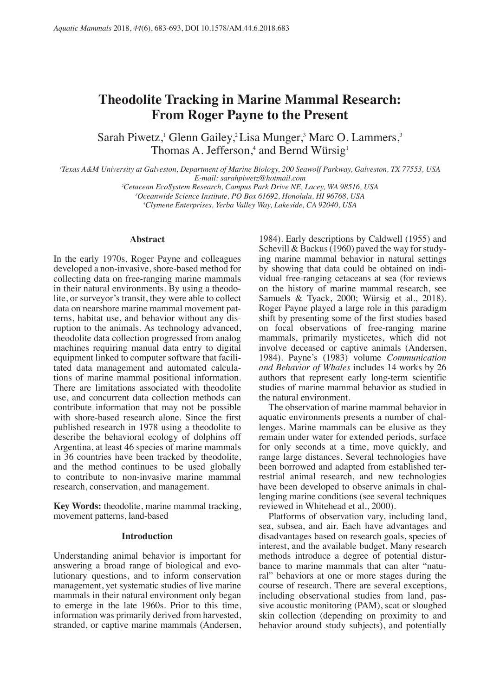# **Theodolite Tracking in Marine Mammal Research: From Roger Payne to the Present**

Sarah Piwetz,<sup>1</sup> Glenn Gailey,<sup>2</sup> Lisa Munger,<sup>3</sup> Marc O. Lammers,<sup>3</sup> Thomas A. Jefferson,<sup>4</sup> and Bernd Würsig<sup>1</sup>

*1 Texas A&M University at Galveston, Department of Marine Biology, 200 Seawolf Parkway, Galveston, TX 77553, USA E-mail: sarahpiwetz@hotmail.com*

*2 Cetacean EcoSystem Research, Campus Park Drive NE, Lacey, WA 98516, USA*

*3 Oceanwide Science Institute, PO Box 61692, Honolulu, HI 96768, USA*

*4 Clymene Enterprises, Yerba Valley Way, Lakeside, CA 92040, USA*

developed a non-invasive, shore-based method for collecting data on free-ranging marine mammals collecting data on free-ranging marine mammals vidual free-ranging cetaceans at sea (for reviews in their natural environments. By using a theodo- on the history of marine mammal research, see in their natural environments. By using a theodo-<br>lite, or surveyor's transit, they were able to collect Samuels & Tyack, 2000; Würsig et al., 2018). data on nearshore marine mammal movement pat-<br>terns, habitat use, and behavior without any dis-<br>shift by presenting some of the first studies based terns, habitat use, and behavior without any dis- shift by presenting some of the first studies based theodolite data collection progressed from analog mammals, primarily mysticetes, which did not machines requiring manual data entry to digital involve deceased or captive animals (Andersen, equipment linked to computer software that facili-<br>1984). Payne's (1983) volume *Communication* equipment linked to computer software that facili-<br>tated data management and automated calculations of marine mammal positional information. authors that represent early long-term scientific use, and concurrent data collection methods can the natural environment.<br>
contribute information that may not be possible The observation of marine mammal behavior in contribute information that may not be possible<br>with shore-based research alone. Since the first aquatic environments presents a number of chalwith shore-based research alone. Since the first published research in 1978 using a theodolite to lenges. Marine mammals can be elusive as they describe the behavioral ecology of dolphins off remain under water for extended periods, surface describe the behavioral ecology of dolphins off Argentina, at least 46 species of marine mammals in 36 countries have been tracked by theodolite, range large distances. Several technologies have and the method continues to be used globally been borrowed and adapted from established terand the method continues to be used globally to contribute to non-invasive marine mammal research, conservation, and management. have been developed to observe animals in chal-

**Key Words:** theodolite, marine mammal tracking, movement patterns, land-based

answering a broad range of biological and evo-<br>lutionary questions, and to inform conservation ally behaviors at one or more stages during the lutionary questions, and to inform conservation ral" behaviors at one or more stages during the management, yet systematic studies of live marine course of research. There are several exceptions, mammals in their natural environment only began to emerge in the late 1960s. Prior to this time, to emerge in the late 1960s. Prior to this time, sive acoustic monitoring (PAM), scat or sloughed information was primarily derived from harvested, skin collection (depending on proximity to and stranded, or captive marine mammals (Andersen,

**Abstract** 1984). Early descriptions by Caldwell (1955) and Schevill & Backus (1960) paved the way for study-In the early 1970s, Roger Payne and colleagues ing marine mammal behavior in natural settings developed a non-invasive, shore-based method for by showing that data could be obtained on indi-Samuels & Tyack, 2000; Würsig et al., 2018). on focal observations of free-ranging marine and Behavior of Whales includes 14 works by 26 studies of marine mammal behavior as studied in the natural environment.

> for only seconds at a time, move quickly, and range large distances. Several technologies have restrial animal research, and new technologies lenging marine conditions (see several techniques reviewed in Whitehead et al., 2000).

Platforms of observation vary, including land, sea, subsea, and air. Each have advantages and **Introduction** disadvantages based on research goals, species of interest, and the available budget. Many research Understanding animal behavior is important for methods introduce a degree of potential disturantively a broad range of biological and evo-<br>bance to marine mammals that can alter "natucourse of research. There are several exceptions, including observational studies from land, passkin collection (depending on proximity to and behavior around study subjects), and potentially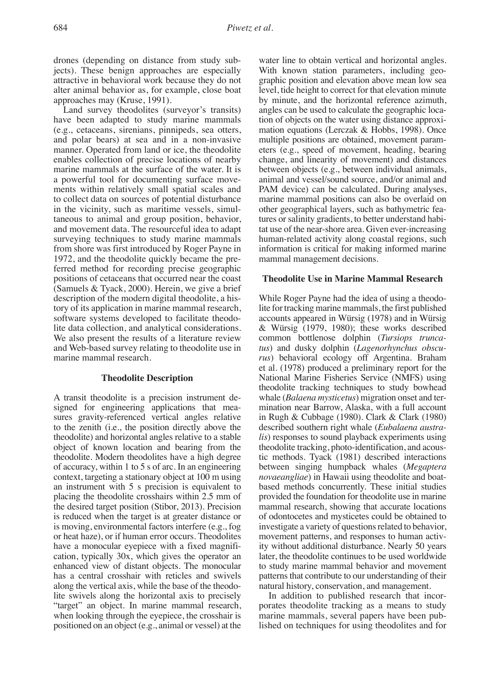drones (depending on distance from study sub-<br>
iects). These benign approaches are especially<br>
With known station parameters, including geo-

have been adapted to study marine mammals (e.g., cetaceans, sirenians, pinnipeds, sea otters, mation equations (Lerczak & Hobbs, 1998). Once and polar bears) at sea and in a non-invasive multiple positions are obtained, movement param-<br>manner. Operated from land or ice, the theodolite eters (e.g., speed of movement, heading, bearing manner. Operated from land or ice, the theodolite enables collection of precise locations of nearby change, and linearity of movement) and distances marine mammals at the surface of the water. It is between objects (e.g., between individual animals, a powerful tool for documenting surface move-<br>animal and vessel/sound source, and/or animal and and wessel/sound source, ments within relatively small spatial scales and PAM device) can be calculated. During analyses, to collect data on sources of potential disturbance marine mammal positions can also be overlaid on<br>in the vicinity, such as maritime vessels, simul-<br>ther geographical layers, such as bathymetric feataneous to animal and group position, behavior, tures or salinity gradients, to better understand habiand movement data. The resourceful idea to adapt tat use of the near-shore area. Given ever-increasing surveying techniques to study marine mammals human-related activity along coastal regions, such surveying techniques to study marine mammals human-related activity along coastal regions, such from shore was first introduced by Roger Payne in information is critical for making informed marine 1972, and the theodolite quickly became the pre- mammal management decisions. ferred method for recording precise geographic positions of cetaceans that occurred near the coast **Theodolite Use in Marine Mammal Research** (Samuels & Tyack, 2000). Herein, we give a brief description of the modern digital theodolite, a his- While Roger Payne had the idea of using a theodotory of its application in marine mammal research, lite for tracking marine mammals, the first published software systems developed to facilitate theodo-<br>
lite data collection, and analytical considerations. & Würsig (1979, 1980); these works described lite data collection, and analytical considerations. We also present the results of a literature review common bottlenose dolphin (*Tursiops trunca*and Web-based survey relating to theodolite use in *tus*) and dusky dolphin (*Lagenorhynchus obscu-*

signed for engineering applications that mea-<br>sures gravity-referenced vertical angles relative in Rugh & Cubbage (1980). Clark & Clark (1980) sures gravity-referenced vertical angles relative to the zenith (i.e., the position directly above the described southern right whale (*Eubalaena austra*theodolite) and horizontal angles relative to a stable *lis*) responses to sound playback experiments using object of known location and bearing from the theodolite tracking, photo-identification, and acous-<br>theodolite. Modern theodolites have a high degree tic methods. Tyack (1981) described interactions of accuracy, within 1 to 5 s of arc. In an engineering between singing humpback whales (*Megaptera*  an instrument with  $5$  s precision is equivalent to placing the theodolite crosshairs within 2.5 mm of provided the foundation for theodolite use in marine the desired target position (Stibor, 2013). Precision mammal research, showing that accurate locations the desired target position (Stibor, 2013). Precision is reduced when the target is at greater distance or of odontocetes and mysticetes could be obtained to is moving, environmental factors interfere (e.g., fog investigate a variety of questions related to behavior, or heat haze), or if human error occurs. Theodolites movement patterns, and responses to human activhave a monocular eyepiece with a fixed magnifi- ity without additional disturbance. Nearly 50 years cation, typically 30x, which gives the operator an later, the theodolite continues to be used worldwide enhanced view of distant objects. The monocular to study marine mammal behavior and movement has a central crosshair with reticles and swivels patterns that contribute to our understanding of their along the vertical axis, while the base of the theodo- natural history, conservation, and management. lite swivels along the horizontal axis to precisely In addition to published research that incor- "target" an object. In marine mammal research, porates theodolite tracking as a means to study when looking through the eyepiece, the crosshair is marine mammals, several papers have been pub-<br>positioned on an object (e.g., animal or vessel) at the lished on techniques for using theodolites and for

With known station parameters, including geoattractive in behavioral work because they do not graphic position and elevation above mean low sea alter animal behavior as, for example, close boat level, tide height to correct for that elevation minute approaches may (Kruse, 1991). by minute, and the horizontal reference azimuth, Land survey theodolites (surveyor's transits) angles can be used to calculate the geographic loca-<br>ve been adapted to study marine mammals tion of objects on the water using distance approxianimal and vessel/sound source, and/or animal and other geographical layers, such as bathymetric feainformation is critical for making informed marine

rus) behavioral ecology off Argentina. Braham et al. (1978) produced a preliminary report for the **Theodolite Description National Marine Fisheries Service (NMFS)** using theodolite tracking techniques to study bowhead A transit theodolite is a precision instrument de-<br>signed for engineering applications that mea-<br>mination near Barrow, Alaska, with a full account tic methods. Tyack (1981) described interactions novaeangliae) in Hawaii using theodolite and boat-<br>based methods concurrently. These initial studies movement patterns, and responses to human activpatterns that contribute to our understanding of their

lished on techniques for using theodolites and for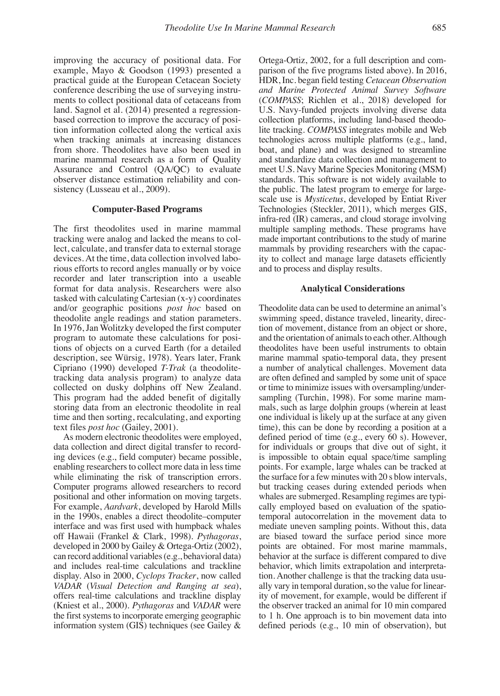example, Mayo & Goodson (1993) presented a parison of the five programs listed above). In 2016, practical guide at the European Cetacean Society HDR, Inc. began field testing *Cetacean Observation* conference describing the use of surveying instru- *and Marine Protected Animal Survey Software*  ments to collect positional data of cetaceans from (*COMPASS*; Richlen et al., 2018) developed for land. Sagnol et al. (2014) presented a regression-<br>based correction to improve the accuracy of posi-<br>collection platforms, including land-based theodobased correction to improve the accuracy of position information collected along the vertical axis lite tracking. *COMPASS* integrates mobile and Web when tracking animals at increasing distances technologies across multiple platforms (e.g., land, from shore. Theodolites have also been used in boat, and plane) and was designed to streamline marine mammal research as a form of Quality and standardize data collection and management to Assurance and Control (QA/QC) to evaluate meet U.S. Navy Marine Species Monitoring (MSM) observer distance estimation reliability and con-<br>standards. This software is not widely available to sistency (Lusseau et al., 2009). the public. The latest program to emerge for large-

lect, calculate, and transfer data to external storage devices. At the time, data collection involved labo-<br>
ity to collect and manage large datasets efficiently<br>
rious efforts to record angles manually or by voice and to process and display results. rious efforts to record angles manually or by voice recorder and later transcription into a useable format for data analysis. Researchers were also **Analytical Considerations** tasked with calculating Cartesian (x-y) coordinates and/or geographic positions *post hoc* based on Theodolite data can be used to determine an animal's theodolite angle readings and station parameters. swimming speed, distance traveled, linearity, direc-<br>In 1976, Jan Wolitzky developed the first computer tion of movement, distance from an object or shore, In 1976, Jan Wolitzky developed the first computer program to automate these calculations for posi- and the orientation of animals to each other. Although tions of objects on a curved Earth (for a detailed theodolites have been useful instruments to obtain description, see Würsig, 1978). Years later, Frank marine mammal spatio-temporal data, they present description, see Würsig, 1978). Years later, Frank marine mammal spatio-temporal data, they present Cipriano (1990) developed T-Trak (a theodolite- a number of analytical challenges. Movement data tracking data analysis program) to analyze data are often defined and sampled by some unit of space<br>collected on dusky dolphins off New Zealand. or time to minimize issues with oversampling/undercollected on dusky dolphins off New Zealand. or time to minimize issues with oversampling/under-<br>This program had the added benefit of digitally sampling (Turchin, 1998). For some marine mam-This program had the added benefit of digitally storing data from an electronic theodolite in real mals, such as large dolphin groups (wherein at least time and then sorting, recalculating, and exporting one individual is likely up at the surface at any given text files *post hoc* (Gailey, 2001). time), this can be done by recording a position at a

ing devices (e.g., field computer) became possible, enabling researchers to collect more data in less time points. For example, large whales can be tracked at while eliminating the risk of transcription errors. the surface for a few minutes with 20 s blow intervals. while eliminating the risk of transcription errors. Computer programs allowed researchers to record but tracking ceases during extended periods when positional and other information on moving targets. whales are submerged. Resampling regimes are typi-<br>For example, *Aardvark*, developed by Harold Mills cally employed based on evaluation of the spatioin the 1990s, enables a direct theodolite–computer temporal autocorrelation in the movement data to interface and was first used with humpback whales mediate uneven sampling points. Without this, data<br>off Hawaii (Frankel & Clark, 1998). Pythagoras, are biased toward the surface period since more off Hawaii (Frankel & Clark, 1998). Pythagoras, developed in 2000 by Gailey & Ortega-Ortiz (2002), points are obtained. For most marine mammals, can record additional variables (e.g., behavioral data) behavior at the surface is different compared to dive<br>and includes real-time calculations and trackline behavior, which limits extrapolation and interpretaand includes real-time calculations and trackline behavior, which limits extrapolation and interpreta-<br>display. Also in 2000, Cyclops Tracker, now called tion. Another challenge is that the tracking data usu-*VADAR* (*Visual Detection and Ranging at sea*), ally vary in temporal duration, so the value for linearoffers real-time calculations and trackline display ity of movement, for example, would be different if (Kniest et al., 2000). Pythagoras and VADAR were the observer tracked an animal for 10 min compared (Kniest et al., 2000). *Pythagoras* and *VADAR* were the first systems to incorporate emerging geographic the first systems to incorporate emerging geographic to 1 h. One approach is to bin movement data into information system (GIS) techniques (see Gailey  $\&$  defined periods (e.g., 10 min of observation), but

improving the accuracy of positional data. For Ortega-Ortiz, 2002, for a full description and com-<br>example, Mayo & Goodson (1993) presented a parison of the five programs listed above). In 2016, practical guide at the European Cetacean Society HDR, Inc. began field testing *Cetacean Observation*  boat, and plane) and was designed to streamline standards. This software is not widely available to scale use is *Mysticetus*, developed by Entiat River **Computer-Based Programs** Technologies (Steckler, 2011), which merges GIS, infra-red (IR) cameras, and cloud storage involving The first theodolites used in marine mammal multiple sampling methods. These programs have tracking were analog and lacked the means to col- made important contributions to the study of marine made important contributions to the study of marine mammals by providing researchers with the capac-

a number of analytical challenges. Movement data one individual is likely up at the surface at any given As modern electronic theodolites were employed, defined period of time (e.g., every 60 s). However, data collection and direct digital transfer to record-<br>for individuals or groups that dive out of sight, it for individuals or groups that dive out of sight, it is impossible to obtain equal space/time sampling cally employed based on evaluation of the spatiotion. Another challenge is that the tracking data usudefined periods (e.g., 10 min of observation), but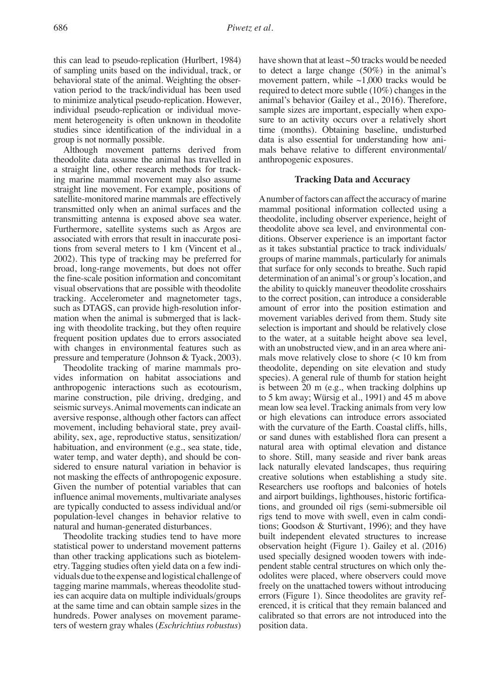this can lead to pseudo-replication (Hurlbert, 1984) have shown that at least  $\sim$  50 tracks would be needed of sampling units based on the individual, track, or to detect a large change (50%) in the animal's of sampling units based on the individual, track, or to detect a large change (50%) in the animal's behavioral state of the animal. Weighting the obser-<br>movement pattern, while  $\sim$ 1,000 tracks would be vation period to the track/individual has been used required to detect more subtle (10%) changes in the to minimize analytical pseudo-replication. However, animal's behavior (Gailey et al., 2016). Therefore, to minimize analytical pseudo-replication. However, individual pseudo-replication or individual move-<br>ment heterogeneity is often unknown in theodolite sure to an activity occurs over a relatively short studies since identification of the individual in a time (months). Obtaining baseline, undisturbed

Although movement patterns derived from theodolite data assume the animal has travelled in anthropogenic exposures. a straight line, other research methods for tracking marine mammal movement may also assume **Tracking Data and Accuracy** straight line movement. For example, positions of satellite-monitored marine mammals are effectively<br>transmitted only when an animal surfaces and the mammal positional information collected using a transmitting antenna is exposed above sea water. theodolite, including observer experience, height of Furthermore, satellite systems such as Argos are theodolite above sea level, and environmental con-<br>associated with errors that result in inaccurate posi-<br>ditions. Observer experience is an important factor associated with errors that result in inaccurate posi-<br>tions. Observer experience is an important factor<br>tions from several meters to 1 km (Vincent et al., as it takes substantial practice to track individuals/ 2002). This type of tracking may be preferred for groups of marine mammals, particularly for animals broad, long-range movements, but does not offer that surface for only seconds to breathe. Such rapid the fine-scale position information and concomitant determination of an animal's or group's location, and visual observations that are possible with theodolite the ability to quickly maneuver theodolite crosshairs tracking. Accelerometer and magnetometer tags, to the correct position, can introduce a considerable such as DTAGS, can provide high-resolution infor-<br>movement of error into the position estimation and<br>mation when the animal is submerged that is lack-<br>movement variables derived from them. Study site mation when the animal is submerged that is lack-<br>ing with theodolite tracking, but they often require selection is important and should be relatively close ing with theodolite tracking, but they often require frequent position updates due to errors associated to the water, at a suitable height above sea level, with changes in environmental features such as with an unobstructed view, and in an area where ani-<br>pressure and temperature (Johnson & Tyack, 2003). The mals move relatively close to shore  $(< 10 \text{ km from})$ pressure and temperature (Johnson & Tyack, 2003).<br>Theodolite tracking of marine mammals pro-

vides information on habitat associations and species). A general rule of thumb for station height anthropogenic interactions such as ecotourism, is between 20 m (e.g., when tracking dolphins up anthropogenic interactions such as ecotourism, is between 20 m (e.g., when tracking dolphins up marine construction, pile driving, dredging, and to 5 km away; Würsig et al., 1991) and 45 m above seismic surveys. Animal movements can indicate an mean low sea level. Tracking animals from very low aversive response, although other factors can affect or high elevations can introduce errors associated aversive response, although other factors can affect movement, including behavioral state, prey avail-<br>with the curvature of the Earth. Coastal cliffs, hills, ability, sex, age, reproductive status, sensitization/ or sand dunes with established flora can present a habituation, and environment (e.g., sea state, tide, and a matural area with optimal elevation and distance habituation, and environment (e.g., sea state, tide, water temp, and water depth), and should be considered to ensure natural variation in behavior is lack naturally elevated landscapes, thus requiring not masking the effects of anthropogenic exposure. creative solutions when establishing a study site. not masking the effects of anthropogenic exposure. creative solutions when establishing a study site.<br>Given the number of potential variables that can Researchers use rooftops and balconies of hotels Given the number of potential variables that can influence animal movements, multivariate analyses and airport buildings, lighthouses, historic fortifica-<br>are typically conducted to assess individual and/or tions, and grounded oil rigs (semi-submersible oil population-level changes in behavior relative to rigs tend to move with swell, even in calm condi-

statistical power to understand movement patterns observation height (Figure 1). Gailey et al. (2016) than other tracking applications such as biotelem-<br>etry. Tagging studies often yield data on a few indi-<br>pendent stable central structures on which only theetry. Tagging studies often yield data on a few individuals due to the expense and logistical challenge of tagging marine mammals, whereas theodolite stud- freely on the unattached towers without introducing ies can acquire data on multiple individuals/groups errors (Figure 1). Since theodolites are gravity ref-<br>at the same time and can obtain sample sizes in the erenced, it is critical that they remain balanced and at the same time and can obtain sample sizes in the erenced, it is critical that they remain balanced and hundreds. Power analyses on movement parame-<br>calibrated so that errors are not introduced into the hundreds. Power analyses on movement parame-<br>ters of western gray whales (*Eschrichtius robustus*) position data. ters of western gray whales (*Eschrichtius robustus*)

movement pattern, while  $\sim$ 1,000 tracks would be sure to an activity occurs over a relatively short group is not normally possible.<br>Although movement patterns derived from mals behave relative to different environmental/

mammal positional information collected using a as it takes substantial practice to track individuals/ the ability to quickly maneuver theodolite crosshairs theodolite, depending on site elevation and study to 5 km away; Würsig et al., 1991) and 45 m above to shore. Still, many seaside and river bank areas tions, and grounded oil rigs (semi-submersible oil natural and human-generated disturbances. tions; Goodson & Sturtivant, 1996); and they have<br>Theodolite tracking studies tend to have more built independent elevated structures to increase built independent elevated structures to increase odolites were placed, where observers could move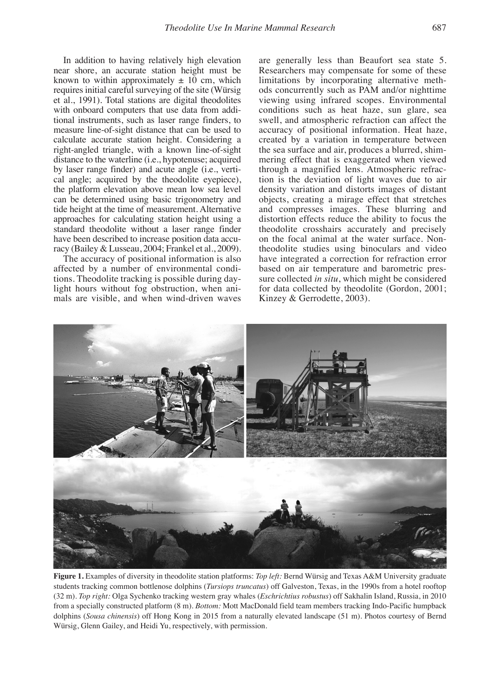by laser range finder) and acute angle (i.e., verti-<br>cal angle; acquired by the theodolite eyepiece), tion is the deviation of light waves due to air have been described to increase position data accu-<br>
racy (Bailey & Lusseau, 2004; Frankel et al., 2009). 
theodolite studies using binoculars and video

mals are visible, and when wind-driven waves

In addition to having relatively high elevation are generally less than Beaufort sea state 5.<br>near shore, an accurate station height must be Researchers may compensate for some of these near shore, an accurate station height must be<br>
Researchers may compensate for some of these<br>
known to within approximately  $\pm 10$  cm, which<br>
limitations by incorporating alternative methlimitations by incorporating alternative methrequires initial careful surveying of the site (Würsig ods concurrently such as PAM and/or nighttime et al., 1991). Total stations are digital theodolites viewing using infrared scopes. Environmental et al., 1991). Total stations are digital theodolites viewing using infrared scopes. Environmental with onboard computers that use data from addi- conditions such as heat haze, sun glare, sea with onboard computers that use data from addi-<br>tional instruments, such as laser range finders, to swell, and atmospheric refraction can affect the swell, and atmospheric refraction can affect the measure line-of-sight distance that can be used to accuracy of positional information. Heat haze, calculate accurate station height. Considering a created by a variation in temperature between calculate accurate station height. Considering a created by a variation in temperature between right-angled triangle, with a known line-of-sight the sea surface and air, produces a blurred, shimthe sea surface and air, produces a blurred, shimdistance to the waterline (i.e., hypotenuse; acquired mering effect that is exaggerated when viewed cal angle; acquired by the theodolite eyepiece), tion is the deviation of light waves due to air the platform elevation above mean low sea level density variation and distorts images of distant density variation and distorts images of distant can be determined using basic trigonometry and objects, creating a mirage effect that stretches tide height at the time of measurement. Alternative and compresses images. These blurring and approaches for calculating station height using a distortion effects reduce the ability to focus the standard theodolite without a laser range finder theodolite crosshairs accurately and precisely have been described to increase position data accu- on the focal animal at the water surface. Nontheodolite studies using binoculars and video The accuracy of positional information is also have integrated a correction for refraction error affected by a number of environmental condi-<br>based on air temperature and barometric presaffected by a number of environmental condi-<br>tions. Theodolite tracking is possible during day-<br>sure collected in situ, which might be considered tions. Theodolite tracking is possible during day-<br>light hours without fog obstruction, when ani-<br>for data collected by theodolite (Gordon, 2001; for data collected by theodolite (Gordon, 2001;<br>Kinzey & Gerrodette, 2003).



**Figure 1.** Examples of diversity in theodolite station platforms: *Top left:* Bernd Würsig and Texas A&M University graduate students tracking common bottlenose dolphins (*Tursiops truncatus*) off Galveston, Texas, in the 1990s from a hotel rooftop (32 m). *Top right:* Olga Sychenko tracking western gray whales (*Eschrichtius robustus*) off Sakhalin Island, Russia, in 2010 from a specially constructed platform (8 m). *Bottom:* Mott MacDonald field team members tracking Indo-Pacific humpback dolphins (*Sousa chinensis*) off Hong Kong in 2015 from a naturally elevated landscape (51 m). Photos courtesy of Bernd Würsig, Glenn Gailey, and Heidi Yu, respectively, with permission.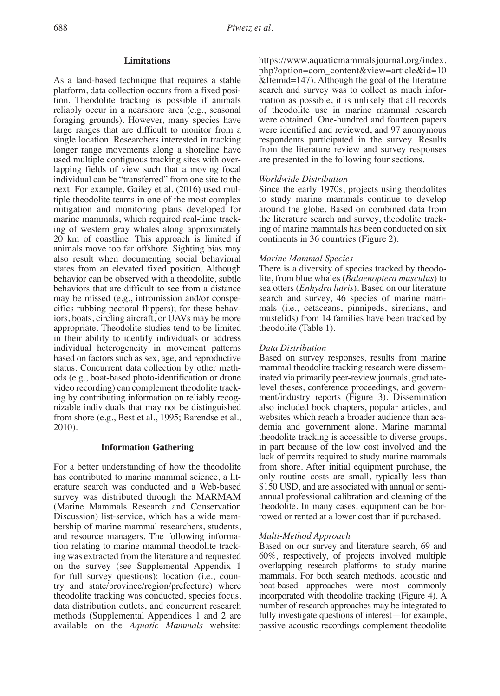platform, data collection occurs from a fixed posi-<br>
is earch and survey was to collect as much infor-<br>
ion. Theodolite tracking is possible if animals<br>
intion as possible, it is unlikely that all records tion. Theodolite tracking is possible if animals mation as possible, it is unlikely that all records reliably occur in a nearshore area (e.g., seasonal of theodolite use in marine mammal research reliably occur in a nearshore area (e.g., seasonal foraging grounds). However, many species have large ranges that are difficult to monitor from a were identified and reviewed, and 97 anonymous single location. Researchers interested in tracking respondents participated in the survey. Results single location. Researchers interested in tracking respondents participated in the survey. Results longer range movements along a shoreline have from the literature review and survey responses used multiple contiguous tracking sites with over- are presented in the following four sections. lapping fields of view such that a moving focal individual can be "transferred" from one site to the *Worldwide Distribution* next. For example, Gailey et al. (2016) used mul- Since the early 1970s, projects using theodolites tiple theodolite teams in one of the most complex to study marine mammals continue to develop mitigation and monitoring plans developed for around the globe. Based on combined data from mitigation and monitoring plans developed for around the globe. Based on combined data from marine mammals, which required real-time track-<br>the literature search and survey, theodolite trackmarine mammals, which required real-time tracking of western gray whales along approximately ing of marine mammals has been conducted on six<br>20 km of coastline. This approach is limited if continents in 36 countries (Figure 2). 20 km of coastline. This approach is limited if animals move too far offshore. Sighting bias may also result when documenting social behavioral *Marine Mammal Species* states from an elevated fixed position. Although behavior can be observed with a theodolite, subtle behavior can be observed with a theodolite, subtle lite, from blue whales (*Balaenoptera musculus*) to behaviors that are difficult to see from a distance sea otters (*Enhydra lutris*). Based on our literature may be missed (e.g., intromission and/or conspe-<br>cifics rubbing pectoral flippers); for these behav-<br>mals (i.e., cetaceans, pinnipeds, sirenians, and cifics rubbing pectoral flippers); for these behav- mals (i.e., cetaceans, pinnipeds, sirenians, and iors, boats, circling aircraft, or UAVs may be more mustelids) from 14 f<br>appropriate. Theodolite studies tend to be limited theodolite (Table 1). appropriate. Theodolite studies tend to be limited in their ability to identify individuals or address individual heterogeneity in movement patterns *Data Distribution* based on factors such as sex, age, and reproductive Based on survey responses, results from marine status. Concurrent data collection by other meth-<br>mammal theodolite tracking research were dissemstatus. Concurrent data collection by other meth-<br>ods (e.g., boat-based photo-identification or drone video recording) can complement theodolite tracking by contributing information on reliably recog-<br>
ment/industry reports (Figure 3). Dissemination<br>
inizable individuals that may not be distinguished also included book chapters, popular articles, and from shore (e.g., Best et al., 1995; Barendse et al., 2010). demia and government alone. Marine mammal

For a better understanding of how the theodolite from shore. After initial equipment purchase, the has contributed to marine mammal science, a lit-<br>has contributed to marine mammal science, a lit-<br>only routine costs are sm has contributed to marine mammal science, a lit-<br>erature search was conducted and a Web-based \$150 USD, and are associated with annual or semisurvey was distributed through the MARMAM annual professional calibration and cleaning of the (Marine Mammals Research and Conservation theodolite. In many cases, equipment can be bor-Discussion) list-service, which has a wide membership of marine mammal researchers, students, and resource managers. The following informa-<br>
ion relating to marine mammal theodolite track-<br>
Based on our survey and literature search, 69 and tion relating to marine mammal theodolite tracking was extracted from the literature and requested 60%, respectively, of projects involved multiple<br>on the survey (see Supplemental Appendix 1 overlapping research platforms to study marine on the survey (see Supplemental Appendix 1 overlapping research platforms to study marine<br>for full survey questions): location (i.e., coun-<br>mammals. For both search methods, acoustic and for full survey questions): location (i.e., country and state/province/region/prefecture) where boat-based approaches were most commonly theodolite tracking was conducted, species focus, incorporated with theodolite tracking (Figure 4). A data distribution outlets, and concurrent research number of research approaches may be integrated to data distribution outlets, and concurrent research number of research approaches may be integrated to methods (Supplemental Appendices 1 and 2 are fully investigate questions of interest—for example, methods (Supplemental Appendices 1 and 2 are fully investigate questions of interest—for example, available on the *Aquatic Mammals* website: passive acoustic recordings complement theodolite

**Limitations** https://www.aquaticmammalsjournal.org/index. php?option=com\_content&view=article&id=10 As a land-based technique that requires a stable &Itemid=147). Although the goal of the literature were obtained. One-hundred and fourteen papers from the literature review and survey responses

sea otters (*Enhydra lutris*). Based on our literature

inated via primarily peer-review journals, graduate-<br>level theses, conference proceedings, and governalso included book chapters, popular articles, and<br>websites which reach a broader audience than acatheodolite tracking is accessible to diverse groups, **Information Gathering** in part because of the low cost involved and the lack of permits required to study marine mammals \$150 USD, and are associated with annual or semitheodolite. In many cases, equipment can be bor-<br>rowed or rented at a lower cost than if purchased.

passive acoustic recordings complement theodolite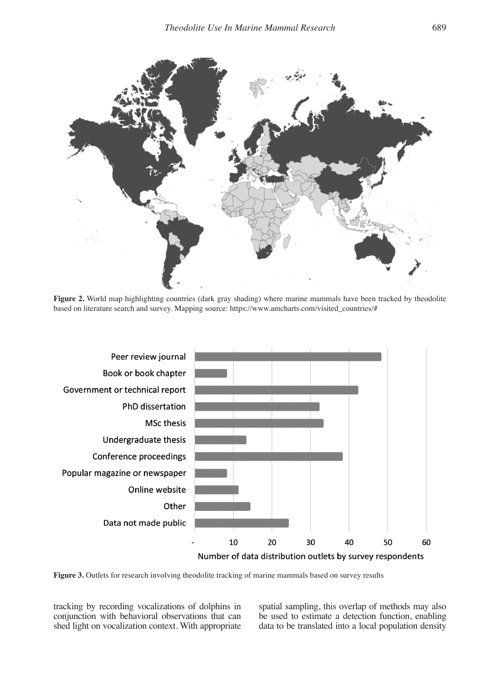

Figure 2. World map highlighting countries (dark gray shading) where marine mammals have been tracked by theodolite based on literature search and survey. Mapping source: https://www.amcharts.com/visited\_countries/#



**Figure 3.** Outlets for research involving theodolite tracking of marine mammals based on survey results

shed light on vocalization context. With appropriate

tracking by recording vocalizations of dolphins in spatial sampling, this overlap of methods may also conjunction with behavioral observations that can be used to estimate a detection function, enabling be used to estimate a detection function, enabling data to be translated into a local population density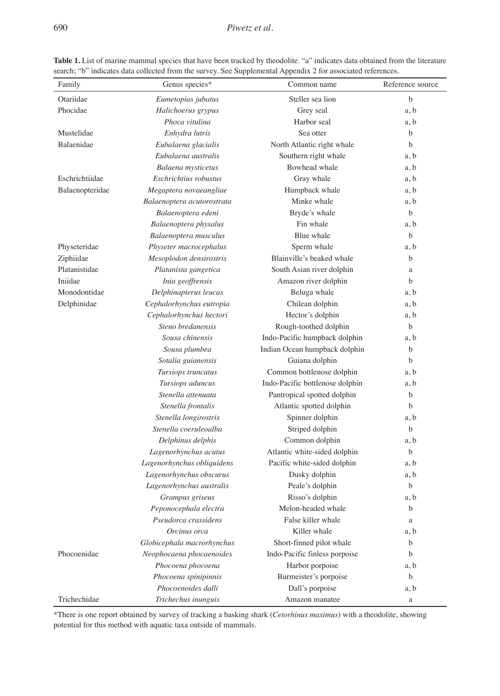| Family          | Genus species*             | Common name                     | Reference source |
|-----------------|----------------------------|---------------------------------|------------------|
| Otariidae       | Eumetopias jubatus         | Steller sea lion                | b                |
| Phocidae        | Halichoerus grypus         | Grey seal                       | a, b             |
|                 | Phoca vitulina             | Harbor seal                     | a, b             |
| Mustelidae      | Enhydra lutris             | Sea otter                       | b                |
| Balaenidae      | Eubalaena glacialis        | North Atlantic right whale      | $\mathbf b$      |
|                 | Eubalaena australis        | Southern right whale            | a, b             |
|                 | Balaena mysticetus         | Bowhead whale                   | a, b             |
| Eschrichtiidae  | Eschrichtius robustus      | Gray whale                      | a, b             |
| Balaenopteridae | Megaptera novaeangliae     | Humpback whale                  | a, b             |
|                 | Balaenoptera acutorostrata | Minke whale                     | a, b             |
|                 | Balaenoptera edeni         | Bryde's whale                   | b                |
|                 | Balaenoptera physalus      | Fin whale                       | a, b             |
|                 | Balaenoptera musculus      | Blue whale                      | b                |
| Physeteridae    | Physeter macrocephalus     | Sperm whale                     | a, b             |
| Ziphiidae       | Mesoplodon densirostris    | Blainville's beaked whale       | b                |
| Platanistidae   | Platanista gangetica       | South Asian river dolphin       | a                |
| Iniidae         | Inia geoffrensis           | Amazon river dolphin            | $\mathbf b$      |
| Monodontidae    | Delphinapterus leucas      | Beluga whale                    | a, b             |
| Delphinidae     | Cephalorhynchus eutropia   | Chilean dolphin                 | a, b             |
|                 | Cephalorhynchus hectori    | Hector's dolphin                | a, b             |
|                 | Steno bredanensis          | Rough-toothed dolphin           | b                |
|                 | Sousa chinensis            | Indo-Pacific humpback dolphin   | a, b             |
|                 | Sousa plumbea              | Indian Ocean humpback dolphin   | b                |
|                 | Sotalia guianensis         | Guiana dolphin                  | b                |
|                 | Tursiops truncatus         | Common bottlenose dolphin       | a, b             |
|                 | Tursiops aduncus           | Indo-Pacific bottlenose dolphin | a, b             |
|                 | Stenella attenuata         | Pantropical spotted dolphin     | b                |
|                 | Stenella frontalis         | Atlantic spotted dolphin        | $\mathbf b$      |
|                 | Stenella longirostris      | Spinner dolphin                 | a, b             |
|                 | Stenella coeruleoalba      | Striped dolphin                 | $\mathbf b$      |
|                 | Delphinus delphis          | Common dolphin                  | a, b             |
|                 | Lagenorhynchus acutus      | Atlantic white-sided dolphin    | b                |
|                 | Lagenorhynchus obliquidens | Pacific white-sided dolphin     | a, b             |
|                 | Lagenorhynchus obscurus    | Dusky dolphin                   | a, b             |
|                 | Lagenorhynchus australis   | Peale's dolphin                 | b                |
|                 | Grampus griseus            | Risso's dolphin                 | a, b             |
|                 | Peponocephala electra      | Melon-headed whale              | b                |
|                 | Pseudorca crassidens       | False killer whale              | a                |
|                 | Orcinus orca               | Killer whale                    | a, b             |
|                 | Globicephala macrorhynchus | Short-finned pilot whale        | b                |
| Phocoenidae     | Neophocaena phocaenoides   | Indo-Pacific finless porpoise   | b                |
|                 | Phocoena phocoena          | Harbor porpoise                 | a, b             |
|                 | Phocoena spinipinnis       | Burmeister's porpoise           | b                |
|                 | Phocoenoides dalli         | Dall's porpoise                 | a, b             |
| Trichechidae    | Trichechus inunguis        | Amazon manatee                  | a                |

**Table 1.** List of marine mammal species that have been tracked by theodolite. "a" indicates data obtained from the literature search; "b" indicates data collected from the survey. See Supplemental Appendix 2 for associated references.

\*There is one report obtained by survey of tracking a basking shark (*Cetorhinus maximus*) with a theodolite, showing potential for this method with aquatic taxa outside of mammals.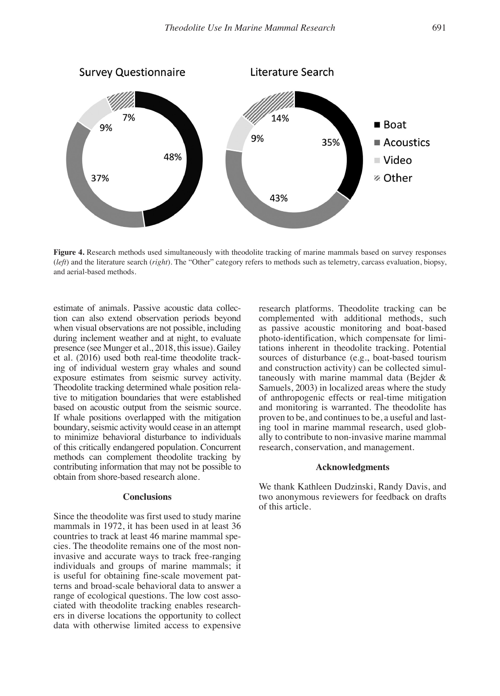

**Figure 4.** Research methods used simultaneously with theodolite tracking of marine mammals based on survey responses (*left*) and the literature search (*right*). The "Other" category refers to methods such as telemetry, carcass evaluation, biopsy, and aerial-based methods.

estimate of animals. Passive acoustic data collec-<br>tion can also extend observation periods beyond complemented with additional methods, such tion can also extend observation periods beyond complemented with additional methods, such when visual observations are not possible, including as passive acoustic monitoring and boat-based when visual observations are not possible, including as passive acoustic monitoring and boat-based during inclement weather and at night, to evaluate photo-identification, which compensate for limiduring inclement weather and at night, to evaluate photo-identification, which compensate for limi-<br>presence (see Munger et al., 2018, this issue). Gailey tations inherent in theodolite tracking. Potential presence (see Munger et al., 2018, this issue). Gailey tations inherent in theodolite tracking. Potential et al. (2016) used both real-time theodolite track-<br>sources of disturbance (e.g., boat-based tourism et al. (2016) used both real-time theodolite track-<br>ing of individual western gray whales and sound and construction activity) can be collected simuling of individual western gray whales and sound and construction activity) can be collected simul-<br>exposure estimates from seismic survey activity. taneously with marine mammal data (Bejder & exposure estimates from seismic survey activity. taneously with marine mammal data (Bejder & Theodolite tracking determined whale position rela-<br>
Samuels, 2003) in localized areas where the study Theodolite tracking determined whale position rela-<br>tive to mitigation boundaries that were established of anthropogenic effects or real-time mitigation tive to mitigation boundaries that were established of anthropogenic effects or real-time mitigation based on acoustic output from the seismic source. and monitoring is warranted. The theodolite has If whale positions overlapped with the mitigation boundary, seismic activity would cease in an attempt boundary, seismic activity would cease in an attempt ing tool in marine mammal research, used glob-<br>to minimize behavioral disturbance to individuals ally to contribute to non-invasive marine mammal of this critically endangered population. Concurrent methods can complement theodolite tracking by contributing information that may not be possible to **Acknowledgments** obtain from shore-based research alone.

Since the theodolite was first used to study marine mammals in 1972, it has been used in at least 36 countries to track at least 46 marine mammal species. The theodolite remains one of the most noninvasive and accurate ways to track free-ranging individuals and groups of marine mammals; it is useful for obtaining fine-scale movement patterns and broad-scale behavioral data to answer a range of ecological questions. The low cost associated with theodolite tracking enables researchers in diverse locations the opportunity to collect data with otherwise limited access to expensive

and monitoring is warranted. The theodolite has proven to be, and continues to be, a useful and lastally to contribute to non-invasive marine mammal<br>research, conservation, and management.

We thank Kathleen Dudzinski, Randy Davis, and **Conclusions** two anonymous reviewers for feedback on drafts of this article.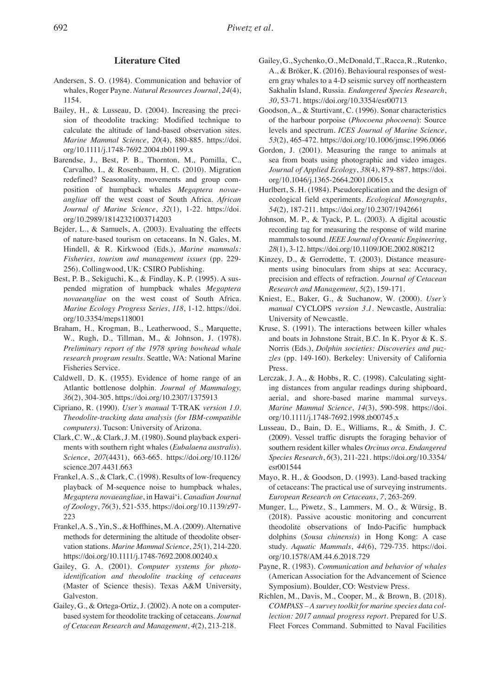- 1154. *30*, 53-71. https://doi.org/10.3354/esr00713
- Bailey, H., & Lusseau, D. (2004). Increasing the preci- Goodson, A., & Sturtivant, C. (1996). Sonar characteristics *Marine Mammal Science*, *20*(4), 880-885. https://doi. *53*(2), 465-472. https://doi.org/10.1006/jmsc.1996.0066
- redefined? Seasonality, movements and group com- org/10.1046/j.1365-2664.2001.00615.x position of humpback whales *Megaptera novae-* Hurlbert, S. H. (1984). Pseudoreplication and the design of *Journal of Marine Science*, *32*(1), 1-22. https://doi. *54*(2), 187-211. https://doi.org/10.2307/1942661 org/10.2989/18142321003714203 Johnson, M. P., & Tyack, P. L. (2003). A digital acoustic
- 
- pended migration of humpback whales *Megaptera Research and Management*, *5*(2), 159-171. *novaeangliae* on the west coast of South Africa. Kniest, E., Baker, G., & Suchanow, W. (2000). *User's*  org/10.3354/meps118001 University of Newcastle.
- Fisheries Service. Press.
- 
- *Theodolite-tracking data analysis (for IBM-compatible* org/10.1111/j.1748-7692.1998.tb00745.x *computers)*. Tucson: University of Arizona. Lusseau, D., Bain, D. E., Williams, R., & Smith, J. C.
- science.207.4431.663 esr001544
- *Megaptera novaeangliae*, in Hawai'i. *Canadian Journal European Research on Cetaceans*, *7*, 263-269.
- https://doi.org/10.1111/j.1748-7692.2008.00240.x org/10.1578/AM.44.6.2018.729
- (Master of Science thesis). Texas A&M University, Symposium). Boulder, CO: Westview Press. Galveston. **Galveston.** Richlen, M., Davis, M., Cooper, M., & Brown, B. (2018).
- 
- Literature Cited Gailey, G., Sychenko, O., McDonald, T., Racca, R., Rutenko, A., & Bröker, K. (2016). Behavioural responses of west-Andersen, S. O. (1984). Communication and behavior of ern gray whales to a 4-D seismic survey off northeastern whales, Roger Payne. *Natural Resources Journal*, *24*(4), Sakhalin Island, Russia. *Endangered Species Research*,
	- sion of theodolite tracking: Modified technique to of the harbour porpoise (*Phocoena phocoena*): Source calculate the altitude of land-based observation sites. levels and spectrum. *ICES Journal of Marine Science*,
- org/10.1111/j.1748-7692.2004.tb01199.x Gordon, J. (2001). Measuring the range to animals at Barendse, J., Best, P. B., Thornton, M., Pomilla, C., sea from boats using photographic and video images. Carvalho, I., & Rosenbaum, H. C. (2010). Migration *Journal of Applied Ecology*, *38*(4), 879-887. https://doi.
	- *angliae* off the west coast of South Africa. *African* ecological field experiments. *Ecological Monographs*,
- Bejder, L., & Samuels, A. (2003). Evaluating the effects recording tag for measuring the response of wild marine of nature-based tourism on cetaceans. In N. Gales, M. mammals to sound. *IEEE Journal of Oceanic Engineering*,<br>Hindell, & R. Kirkwood (Eds.), *Marine mammals:* 28(1), 3-12. https://doi.org/10.1109/JOE.2002.808212 28(1), 3-12. https://doi.org/10.1109/JOE.2002.808212
- *Fisheries, tourism and management issues* (pp. 229- Kinzey, D., & Gerrodette, T. (2003). Distance measure-256). Collingwood, UK: CSIRO Publishing. ments using binoculars from ships at sea: Accuracy, Best, P. B., Sekiguchi, K., & Findlay, K. P. (1995). A sus- precision and effects of refraction. *Journal of Cetacean* 
	- *Marine Ecology Progress Series*, *118*, 1-12. https://doi. *manual* CYCLOPS *version 3.1*. Newcastle, Australia:
- Braham, H., Krogman, B., Leatherwood, S., Marquette, Kruse, S. (1991). The interactions between killer whales W., Rugh, D., Tillman, M., & Johnson, J. (1978). and boats in Johnstone Strait, B.C. In K. Pryor & K. S. *Preliminary report of the 1978 spring bowhead whale* Norris (Eds.), *Dolphin societies: Discoveries and puzresearch program results*. Seattle, WA: National Marine *zles* (pp. 149-160). Berkeley: University of California
- Caldwell, D. K. (1955). Evidence of home range of an Lerczak, J. A., & Hobbs, R. C. (1998). Calculating sight-Atlantic bottlenose dolphin. *Journal of Mammalogy,* ing distances from angular readings during shipboard, *36*(2), 304-305. https://doi.org/10.2307/1375913 aerial, and shore-based marine mammal surveys. Cipriano, R. (1990). *User's manual* T-TRAK *version 1.0. Marine Mammal Science*, *14*(3), 590-598. https://doi.
- Clark, C. W., & Clark, J. M. (1980). Sound playback experi- (2009). Vessel traffic disrupts the foraging behavior of ments with southern right whales (*Eubalaena australis*). southern resident killer whales *Orcinus orca*. *Endangered Science*, *207*(4431), 663-665. https://doi.org/10.1126/ *Species Research*, *6*(3), 211-221. https://doi.org/10.3354/
- Frankel, A. S., & Clark, C. (1998). Results of low-frequency Mayo, R. H., & Goodson, D. (1993). Land-based tracking playback of M-sequence noise to humpback whales, of cetaceans: The practical use of surveying instruments.
- *of Zoology*, *76*(3), 521-535. https://doi.org/10.1139/z97- Munger, L., Piwetz, S., Lammers, M. O., & Würsig, B. 223 (2018). Passive acoustic monitoring and concurrent Frankel, A. S., Yin, S., & Hoffhines, M. A. (2009). Alternative theodolite observations of Indo-Pacific humpback methods for determining the altitude of theodolite obser- dolphins (*Sousa chinensis*) in Hong Kong: A case vation stations. *Marine Mammal Science*, *25*(1), 214-220. study. *Aquatic Mammals*, *44*(6), 729-735. https://doi.
- Gailey, G. A. (2001). *Computer systems for photo-* Payne, R. (1983). *Communication and behavior of whales identification and theodolite tracking of cetaceans* (American Association for the Advancement of Science *identifican Association for the Advancement of Science*
- Gailey, G., & Ortega-Ortiz, J. (2002). A note on a computer-<br>
COMPASS A survey toolkit for marine species data colbased system for theodolite tracking of cetaceans. *Journal lection: 2017 annual progress report*. Prepared for U.S. *of Cetacean Research and Management*, *4*(2), 213-218. Fleet Forces Command. Submitted to Naval Facilities